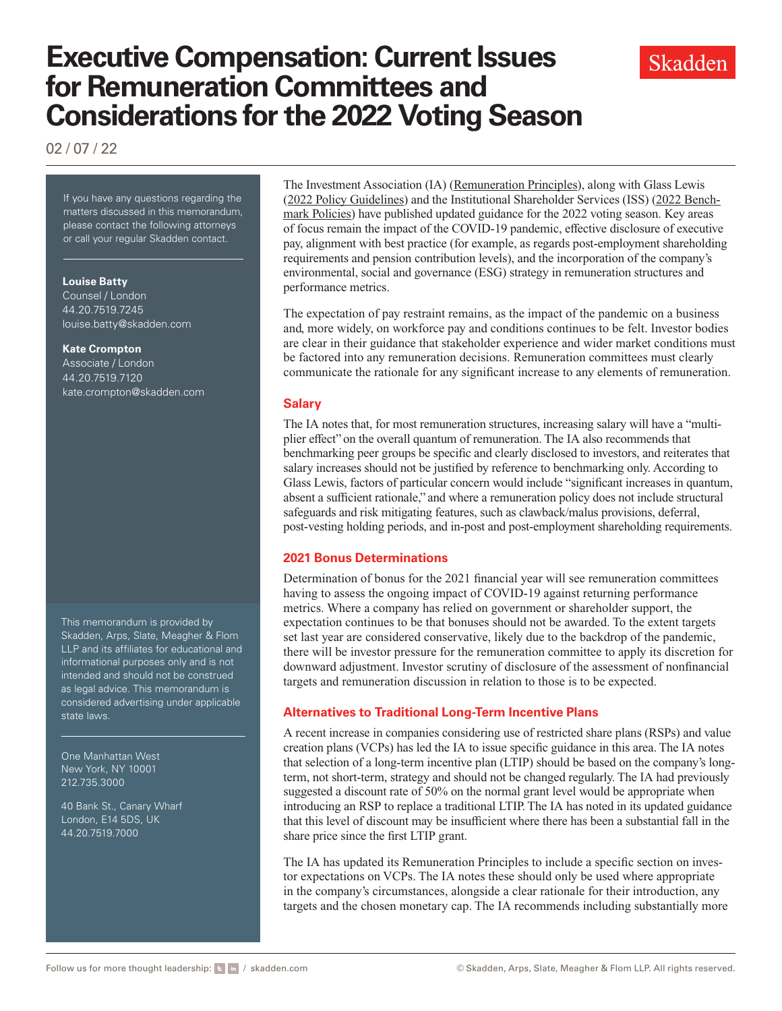# **Executive Compensation: Current Issues for Remuneration Committees and Considerations for the 2022 Voting Season**

02 / 07 / 22

If you have any questions regarding the matters discussed in this memorandum, please contact the following attorneys or call your regular Skadden contact.

### **Louise Batty**

Counsel / London 44.20.7519.7245 [louise.batty@skadden.com](mailto: louise.batty@skadden.com)

#### **Kate Crompton**

Associate / London 44.20.7519.7120 [kate.crompton@skadden.com](mailto: kate.crompton@skadden.com
)

This memorandum is provided by Skadden, Arps, Slate, Meagher & Flom LLP and its affiliates for educational and informational purposes only and is not intended and should not be construed as legal advice. This memorandum is considered advertising under applicable state laws.

One Manhattan West New York, NY 10001 212.735.3000

40 Bank St., Canary Wharf London, E14 5DS, UK 44.20.7519.7000

The Investment Association (IA) [\(Remuneration Principles](https://www.skadden.com/-/media/files/publications/2022/02/executive-compensation-current-issues-for-remuneration-committees/principlesofremuneration2022.pdf)), along with Glass Lewis [\(2022 Policy Guidelines](https://www.skadden.com/-/media/files/publications/2022/02/executive-compensation-current-issues-for-remuneration-committees/ukvotingguidelinesgl2022.pdf)) and the Institutional Shareholder Services (ISS) ([2022 Bench](https://www.skadden.com/-/media/files/publications/2022/02/executive-compensation-current-issues-for-remuneration-committees/emeapolicyupdates.pdf)[mark Policies](https://www.skadden.com/-/media/files/publications/2022/02/executive-compensation-current-issues-for-remuneration-committees/emeapolicyupdates.pdf)) have published updated guidance for the 2022 voting season. Key areas of focus remain the impact of the COVID-19 pandemic, effective disclosure of executive pay, alignment with best practice (for example, as regards post-employment shareholding requirements and pension contribution levels), and the incorporation of the company's environmental, social and governance (ESG) strategy in remuneration structures and performance metrics.

The expectation of pay restraint remains, as the impact of the pandemic on a business and, more widely, on workforce pay and conditions continues to be felt. Investor bodies are clear in their guidance that stakeholder experience and wider market conditions must be factored into any remuneration decisions. Remuneration committees must clearly communicate the rationale for any significant increase to any elements of remuneration.

### **Salary**

The IA notes that, for most remuneration structures, increasing salary will have a "multiplier effect" on the overall quantum of remuneration. The IA also recommends that benchmarking peer groups be specific and clearly disclosed to investors, and reiterates that salary increases should not be justified by reference to benchmarking only. According to Glass Lewis, factors of particular concern would include "significant increases in quantum, absent a sufficient rationale," and where a remuneration policy does not include structural safeguards and risk mitigating features, such as clawback/malus provisions, deferral, post-vesting holding periods, and in-post and post-employment shareholding requirements.

## **2021 Bonus Determinations**

Determination of bonus for the 2021 financial year will see remuneration committees having to assess the ongoing impact of COVID-19 against returning performance metrics. Where a company has relied on government or shareholder support, the expectation continues to be that bonuses should not be awarded. To the extent targets set last year are considered conservative, likely due to the backdrop of the pandemic, there will be investor pressure for the remuneration committee to apply its discretion for downward adjustment. Investor scrutiny of disclosure of the assessment of nonfinancial targets and remuneration discussion in relation to those is to be expected.

## **Alternatives to Traditional Long-Term Incentive Plans**

A recent increase in companies considering use of restricted share plans (RSPs) and value creation plans (VCPs) has led the IA to issue specific guidance in this area. The IA notes that selection of a long-term incentive plan (LTIP) should be based on the company's longterm, not short-term, strategy and should not be changed regularly. The IA had previously suggested a discount rate of 50% on the normal grant level would be appropriate when introducing an RSP to replace a traditional LTIP. The IA has noted in its updated guidance that this level of discount may be insufficient where there has been a substantial fall in the share price since the first LTIP grant.

The IA has updated its Remuneration Principles to include a specific section on investor expectations on VCPs. The IA notes these should only be used where appropriate in the company's circumstances, alongside a clear rationale for their introduction, any targets and the chosen monetary cap. The IA recommends including substantially more